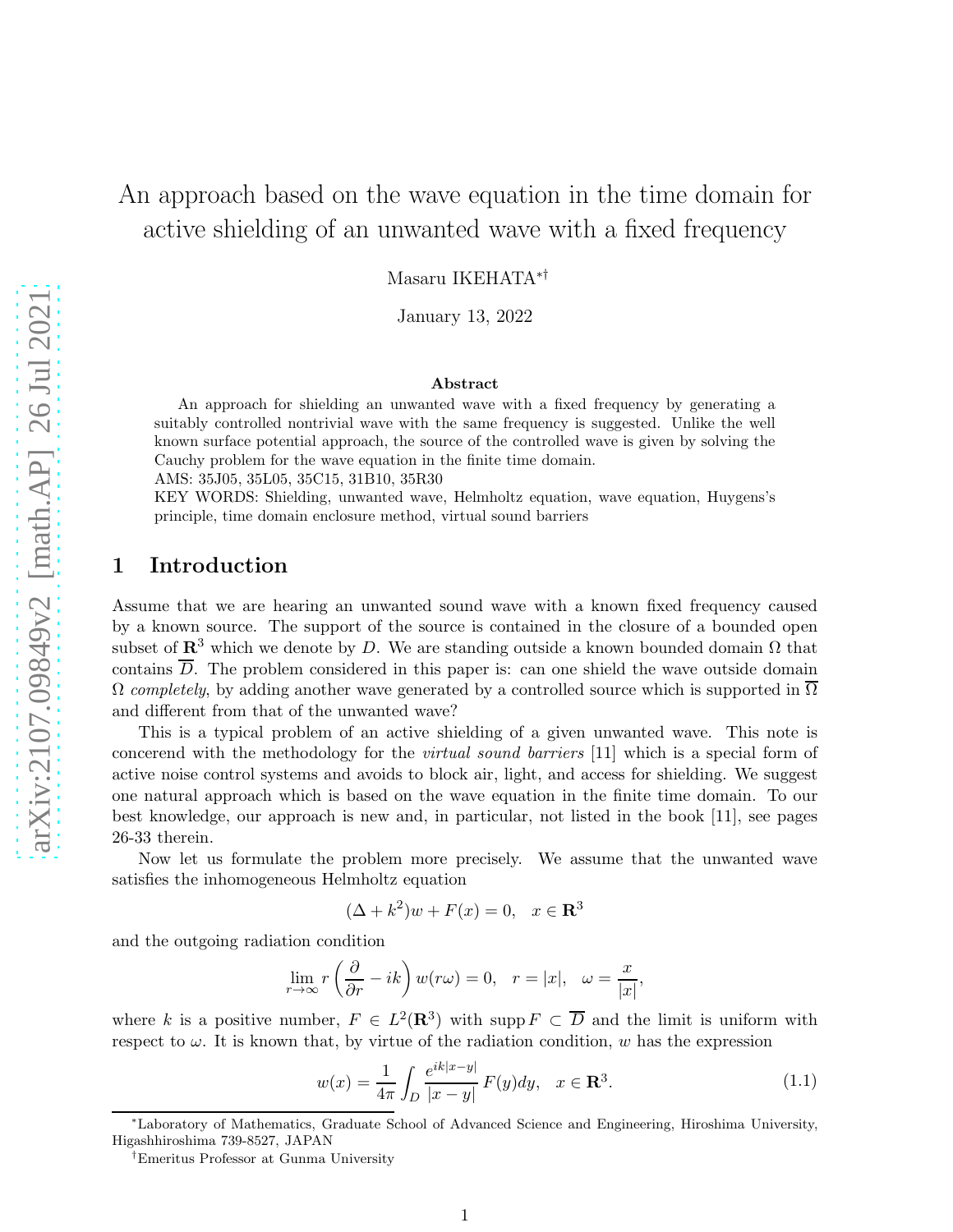# An approach based on the wave equation in the time domain for active shielding of an unwanted wave with a fixed frequency

Masaru IKEHATA∗†

January 13, 2022

#### Abstract

An approach for shielding an unwanted wave with a fixed frequency by generating a suitably controlled nontrivial wave with the same frequency is suggested. Unlike the well known surface potential approach, the source of the controlled wave is given by solving the Cauchy problem for the wave equation in the finite time domain.

AMS: 35J05, 35L05, 35C15, 31B10, 35R30

KEY WORDS: Shielding, unwanted wave, Helmholtz equation, wave equation, Huygens's principle, time domain enclosure method, virtual sound barriers

## 1 Introduction

Assume that we are hearing an unwanted sound wave with a known fixed frequency caused by a known source. The support of the source is contained in the closure of a bounded open subset of  $\mathbb{R}^3$  which we denote by D. We are standing outside a known bounded domain  $\Omega$  that contains  $\overline{D}$ . The problem considered in this paper is: can one shield the wave outside domain  $\Omega$  completely, by adding another wave generated by a controlled source which is supported in  $\Omega$ and different from that of the unwanted wave?

This is a typical problem of an active shielding of a given unwanted wave. This note is concerend with the methodology for the virtual sound barriers [11] which is a special form of active noise control systems and avoids to block air, light, and access for shielding. We suggest one natural approach which is based on the wave equation in the finite time domain. To our best knowledge, our approach is new and, in particular, not listed in the book [11], see pages 26-33 therein.

Now let us formulate the problem more precisely. We assume that the unwanted wave satisfies the inhomogeneous Helmholtz equation

$$
(\Delta + k^2)w + F(x) = 0, \quad x \in \mathbf{R}^3
$$

and the outgoing radiation condition

$$
\lim_{r \to \infty} r\left(\frac{\partial}{\partial r} - ik\right) w(r\omega) = 0, \quad r = |x|, \quad \omega = \frac{x}{|x|},
$$

where k is a positive number,  $F \in L^2(\mathbf{R}^3)$  with supp  $F \subset \overline{D}$  and the limit is uniform with respect to  $\omega$ . It is known that, by virtue of the radiation condition,  $w$  has the expression

$$
w(x) = \frac{1}{4\pi} \int_{D} \frac{e^{ik|x-y|}}{|x-y|} F(y) dy, \quad x \in \mathbf{R}^{3}.
$$
 (1.1)

<sup>∗</sup>Laboratory of Mathematics, Graduate School of Advanced Science and Engineering, Hiroshima University, Higashhiroshima 739-8527, JAPAN

<sup>†</sup>Emeritus Professor at Gunma University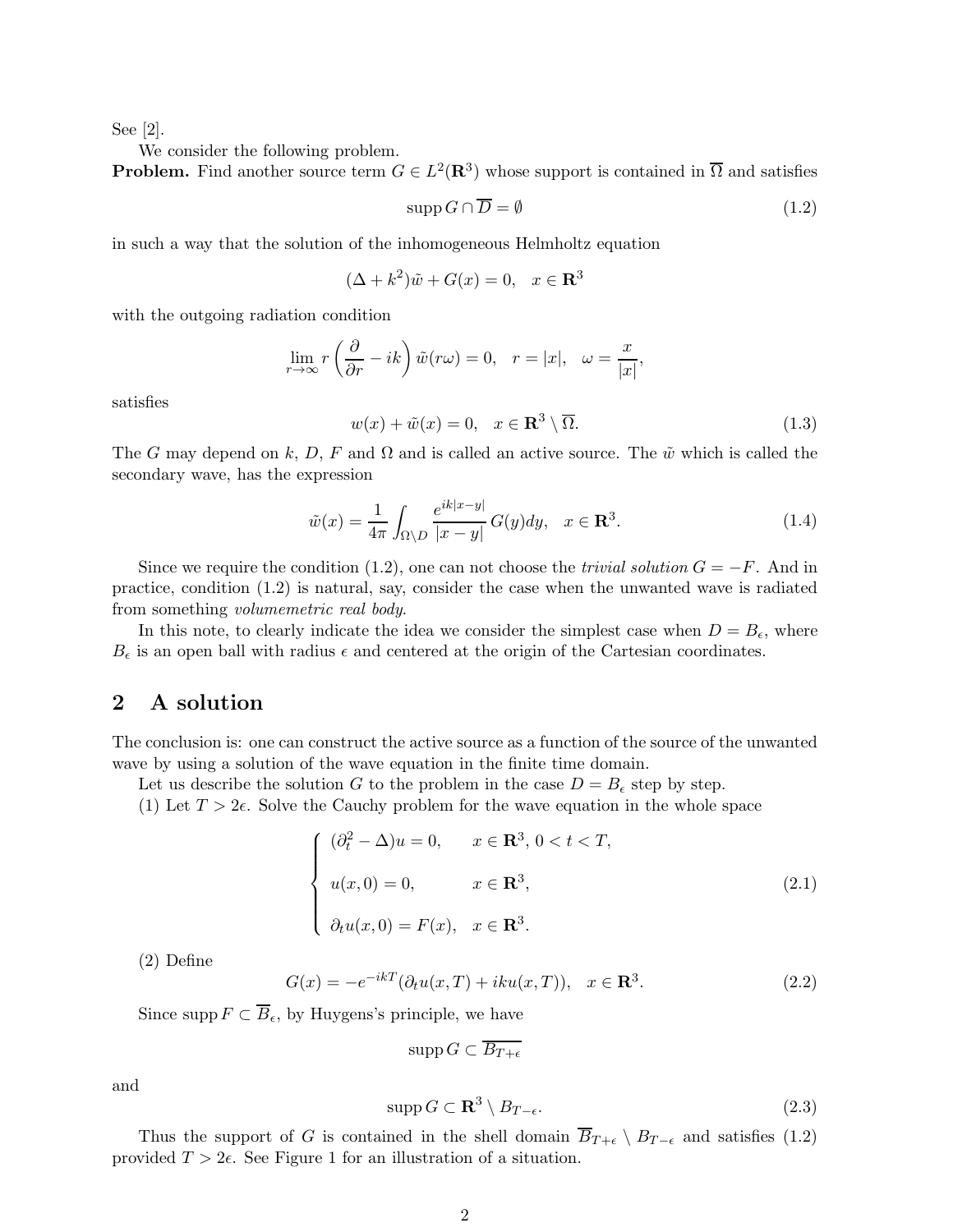See [2].

We consider the following problem.

**Problem.** Find another source term  $G \in L^2(\mathbf{R}^3)$  whose support is contained in  $\overline{\Omega}$  and satisfies

$$
\operatorname{supp} G \cap \overline{D} = \emptyset \tag{1.2}
$$

in such a way that the solution of the inhomogeneous Helmholtz equation

$$
(\Delta + k^2)\tilde{w} + G(x) = 0, \quad x \in \mathbf{R}^3
$$

with the outgoing radiation condition

$$
\lim_{r \to \infty} r\left(\frac{\partial}{\partial r} - ik\right) \tilde{w}(r\omega) = 0, \quad r = |x|, \quad \omega = \frac{x}{|x|},
$$

satisfies

$$
w(x) + \tilde{w}(x) = 0, \quad x \in \mathbf{R}^3 \setminus \overline{\Omega}.
$$
 (1.3)

The G may depend on k, D, F and  $\Omega$  and is called an active source. The  $\tilde{w}$  which is called the secondary wave, has the expression

$$
\tilde{w}(x) = \frac{1}{4\pi} \int_{\Omega \setminus D} \frac{e^{ik|x-y|}}{|x-y|} G(y) dy, \quad x \in \mathbf{R}^3.
$$
\n(1.4)

Since we require the condition (1.2), one can not choose the *trivial solution*  $G = -F$ . And in practice, condition (1.2) is natural, say, consider the case when the unwanted wave is radiated from something volumemetric real body.

In this note, to clearly indicate the idea we consider the simplest case when  $D = B_{\epsilon}$ , where  $B_{\epsilon}$  is an open ball with radius  $\epsilon$  and centered at the origin of the Cartesian coordinates.

## 2 A solution

The conclusion is: one can construct the active source as a function of the source of the unwanted wave by using a solution of the wave equation in the finite time domain.

Let us describe the solution G to the problem in the case  $D = B_{\epsilon}$  step by step.

(1) Let  $T > 2\epsilon$ . Solve the Cauchy problem for the wave equation in the whole space

$$
\begin{cases}\n(\partial_t^2 - \Delta)u = 0, & x \in \mathbb{R}^3, \ 0 < t < T, \\
u(x, 0) = 0, & x \in \mathbb{R}^3, \\
\partial_t u(x, 0) = F(x), & x \in \mathbb{R}^3.\n\end{cases} \tag{2.1}
$$

(2) Define

$$
G(x) = -e^{-ikT}(\partial_t u(x,T) + iku(x,T)), \quad x \in \mathbf{R}^3.
$$
 (2.2)

Since supp  $F \subset \overline{B}_{\epsilon}$ , by Huygens's principle, we have

$$
\mathrm{supp}\, G \subset B_{T+\epsilon}
$$

and

$$
\operatorname{supp} G \subset \mathbf{R}^3 \setminus B_{T-\epsilon}.\tag{2.3}
$$

Thus the support of G is contained in the shell domain  $\overline{B}_{T+\epsilon} \setminus B_{T-\epsilon}$  and satisfies (1.2) provided  $T > 2\epsilon$ . See Figure 1 for an illustration of a situation.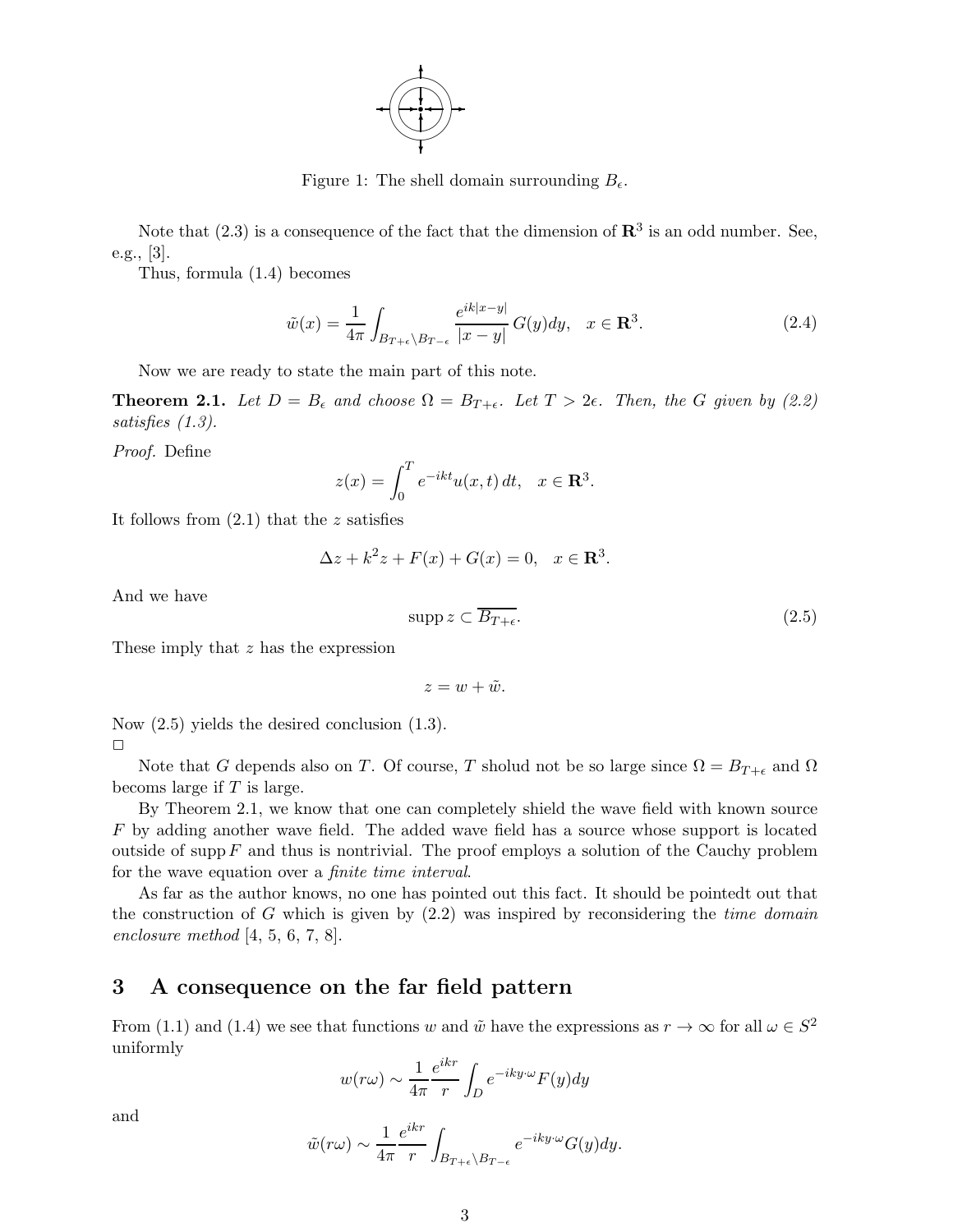

Figure 1: The shell domain surrounding  $B_{\epsilon}$ .

Note that  $(2.3)$  is a consequence of the fact that the dimension of  $\mathbb{R}^3$  is an odd number. See, e.g., [3].

Thus, formula (1.4) becomes

$$
\tilde{w}(x) = \frac{1}{4\pi} \int_{B_{T+\epsilon} \backslash B_{T-\epsilon}} \frac{e^{ik|x-y|}}{|x-y|} G(y) dy, \quad x \in \mathbf{R}^3.
$$
\n(2.4)

Now we are ready to state the main part of this note.

**Theorem 2.1.** Let  $D = B_{\epsilon}$  and choose  $\Omega = B_{T+\epsilon}$ . Let  $T > 2\epsilon$ . Then, the G given by (2.2) satisfies (1.3).

Proof. Define

$$
z(x) = \int_0^T e^{-ikt} u(x, t) dt, \quad x \in \mathbf{R}^3.
$$

It follows from  $(2.1)$  that the z satisfies

$$
\Delta z + k^2 z + F(x) + G(x) = 0, \quad x \in \mathbf{R}^3.
$$

And we have

$$
\operatorname{supp} z \subset \overline{B_{T+\epsilon}}.\tag{2.5}
$$

These imply that z has the expression

$$
z=w+\tilde{w}.
$$

Now (2.5) yields the desired conclusion (1.3).  $\Box$ 

Note that G depends also on T. Of course, T sholud not be so large since  $\Omega = B_{T+\epsilon}$  and  $\Omega$ becoms large if  $T$  is large.

By Theorem 2.1, we know that one can completely shield the wave field with known source F by adding another wave field. The added wave field has a source whose support is located outside of supp  $F$  and thus is nontrivial. The proof employs a solution of the Cauchy problem for the wave equation over a finite time interval.

As far as the author knows, no one has pointed out this fact. It should be pointedt out that the construction of G which is given by  $(2.2)$  was inspired by reconsidering the *time domain* enclosure method [4, 5, 6, 7, 8].

## 3 A consequence on the far field pattern

From (1.1) and (1.4) we see that functions w and  $\tilde{w}$  have the expressions as  $r \to \infty$  for all  $\omega \in S^2$ uniformly

$$
w(r\omega) \sim \frac{1}{4\pi} \frac{e^{ikr}}{r} \int_D e^{-iky \cdot \omega} F(y) dy
$$

and

$$
\tilde{w}(r\omega) \sim \frac{1}{4\pi} \frac{e^{ikr}}{r} \int_{B_{T+\epsilon} \backslash B_{T-\epsilon}} e^{-iky \cdot \omega} G(y) dy.
$$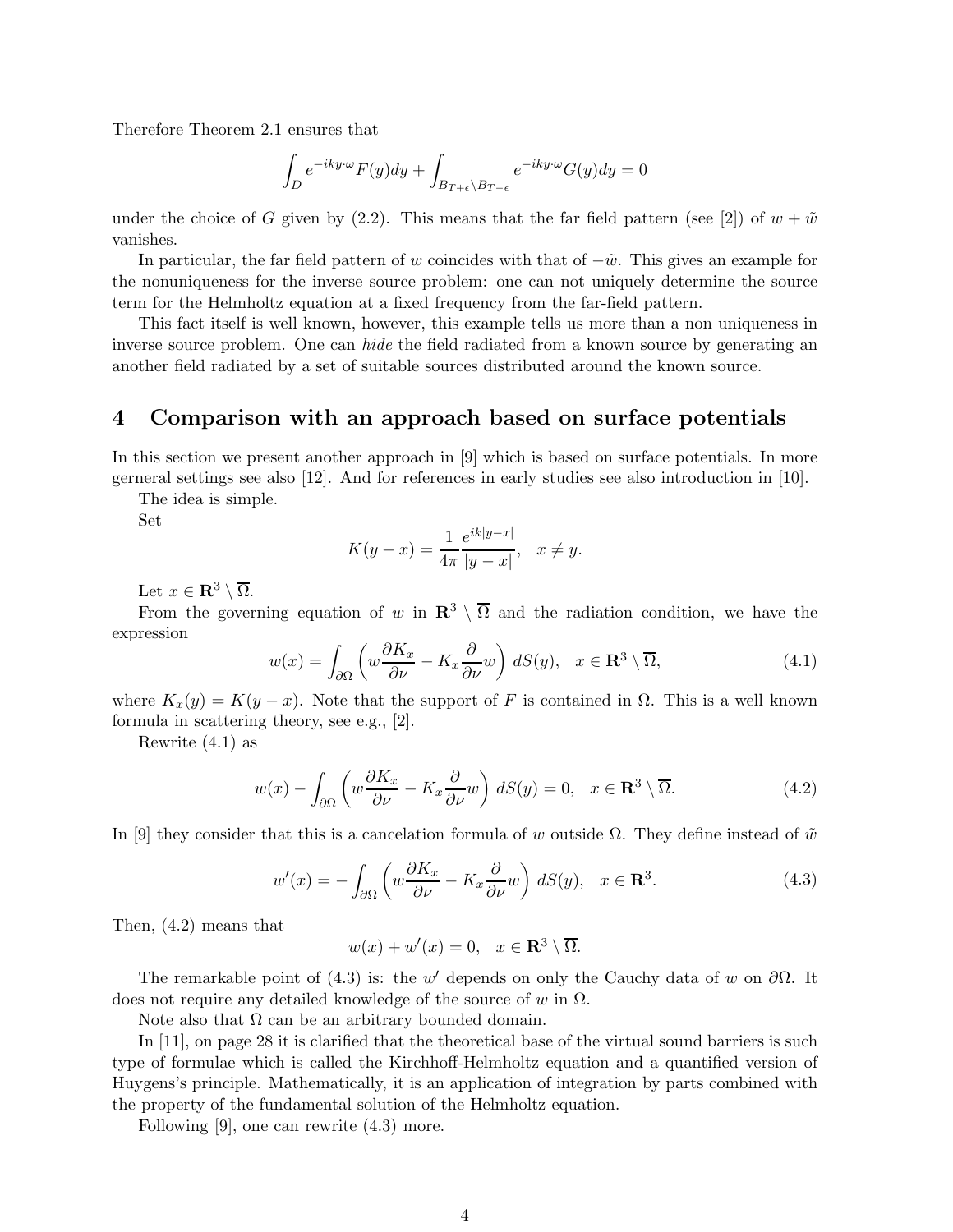Therefore Theorem 2.1 ensures that

$$
\int_{D} e^{-iky \cdot \omega} F(y) dy + \int_{B_{T+\epsilon} \setminus B_{T-\epsilon}} e^{-iky \cdot \omega} G(y) dy = 0
$$

under the choice of G given by (2.2). This means that the far field pattern (see [2]) of  $w + \tilde{w}$ vanishes.

In particular, the far field pattern of w coincides with that of  $-\tilde{w}$ . This gives an example for the nonuniqueness for the inverse source problem: one can not uniquely determine the source term for the Helmholtz equation at a fixed frequency from the far-field pattern.

This fact itself is well known, however, this example tells us more than a non uniqueness in inverse source problem. One can *hide* the field radiated from a known source by generating an another field radiated by a set of suitable sources distributed around the known source.

## 4 Comparison with an approach based on surface potentials

In this section we present another approach in [9] which is based on surface potentials. In more gerneral settings see also [12]. And for references in early studies see also introduction in [10].

The idea is simple.

Set

$$
K(y - x) = \frac{1}{4\pi} \frac{e^{ik|y - x|}}{|y - x|}, \quad x \neq y.
$$

Let  $x \in \mathbf{R}^3 \setminus \overline{\Omega}$ .

From the governing equation of w in  $\mathbb{R}^3 \setminus \overline{\Omega}$  and the radiation condition, we have the expression

$$
w(x) = \int_{\partial\Omega} \left( w \frac{\partial K_x}{\partial \nu} - K_x \frac{\partial}{\partial \nu} w \right) dS(y), \quad x \in \mathbf{R}^3 \setminus \overline{\Omega}, \tag{4.1}
$$

where  $K_x(y) = K(y - x)$ . Note that the support of F is contained in  $\Omega$ . This is a well known formula in scattering theory, see e.g., [2].

Rewrite (4.1) as

$$
w(x) - \int_{\partial\Omega} \left( w \frac{\partial K_x}{\partial \nu} - K_x \frac{\partial}{\partial \nu} w \right) dS(y) = 0, \quad x \in \mathbf{R}^3 \setminus \overline{\Omega}.
$$
 (4.2)

In [9] they consider that this is a cancelation formula of w outside  $\Omega$ . They define instead of  $\tilde{w}$ 

$$
w'(x) = -\int_{\partial\Omega} \left( w \frac{\partial K_x}{\partial \nu} - K_x \frac{\partial}{\partial \nu} w \right) dS(y), \quad x \in \mathbf{R}^3.
$$
 (4.3)

Then, (4.2) means that

$$
w(x) + w'(x) = 0, \quad x \in \mathbf{R}^3 \setminus \overline{\Omega}.
$$

The remarkable point of (4.3) is: the w' depends on only the Cauchy data of w on  $\partial\Omega$ . It does not require any detailed knowledge of the source of w in  $\Omega$ .

Note also that  $\Omega$  can be an arbitrary bounded domain.

In [11], on page 28 it is clarified that the theoretical base of the virtual sound barriers is such type of formulae which is called the Kirchhoff-Helmholtz equation and a quantified version of Huygens's principle. Mathematically, it is an application of integration by parts combined with the property of the fundamental solution of the Helmholtz equation.

Following [9], one can rewrite (4.3) more.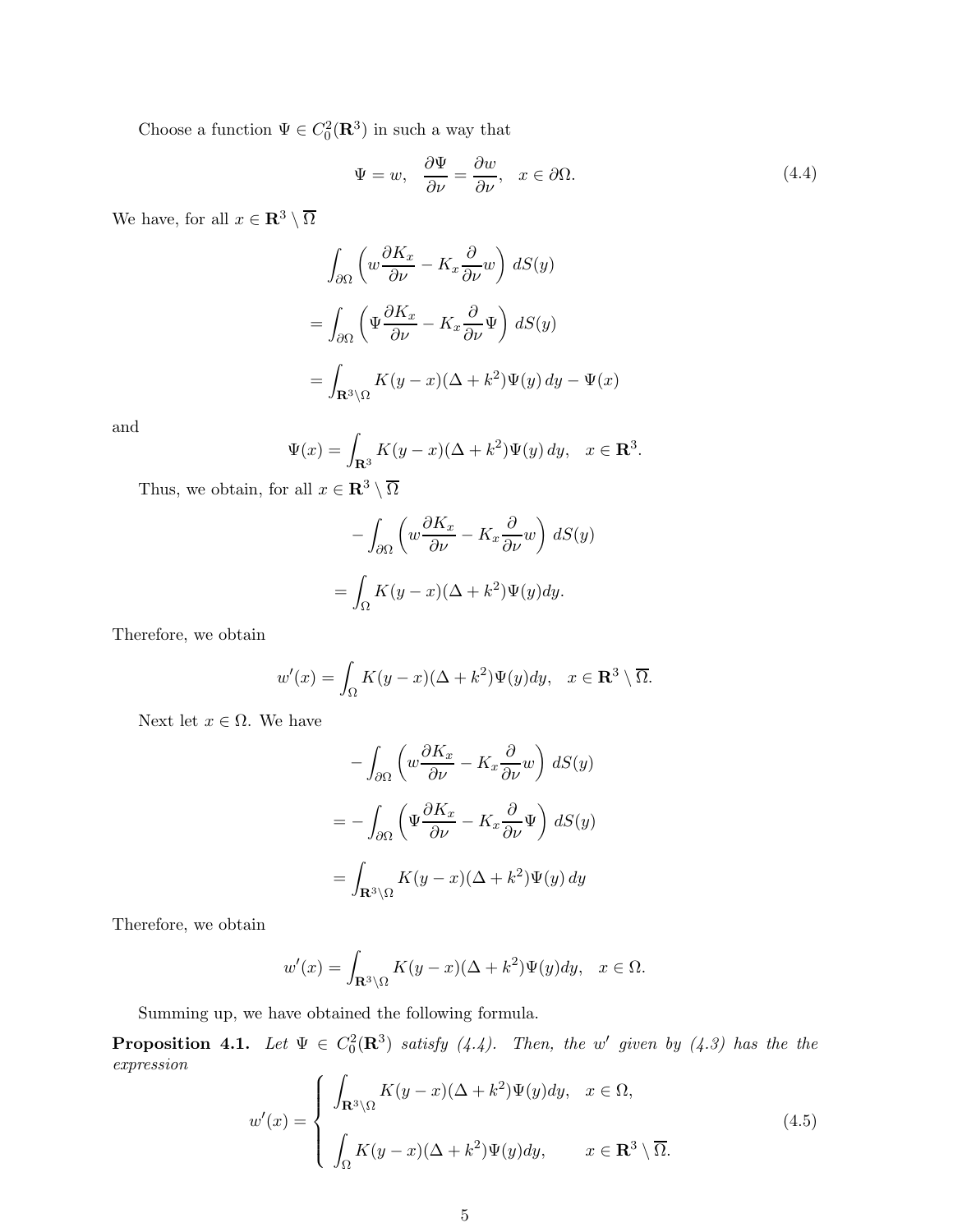Choose a function  $\Psi \in C_0^2(\mathbf{R}^3)$  in such a way that

$$
\Psi = w, \quad \frac{\partial \Psi}{\partial \nu} = \frac{\partial w}{\partial \nu}, \quad x \in \partial \Omega.
$$
\n(4.4)

We have, for all  $x\in{\bf R}^3\setminus\overline{\Omega}$ 

$$
\int_{\partial\Omega} \left( w \frac{\partial K_x}{\partial \nu} - K_x \frac{\partial}{\partial \nu} w \right) dS(y)
$$

$$
= \int_{\partial\Omega} \left( \Psi \frac{\partial K_x}{\partial \nu} - K_x \frac{\partial}{\partial \nu} \Psi \right) dS(y)
$$

$$
= \int_{\mathbf{R}^3 \setminus \Omega} K(y - x) (\Delta + k^2) \Psi(y) dy - \Psi(x)
$$

and

$$
\Psi(x) = \int_{\mathbf{R}^3} K(y - x)(\Delta + k^2) \Psi(y) dy, \quad x \in \mathbf{R}^3.
$$

Thus, we obtain, for all  $x\in{\bf R}^3\setminus\overline{\Omega}$ 

$$
-\int_{\partial\Omega} \left( w \frac{\partial K_x}{\partial \nu} - K_x \frac{\partial}{\partial \nu} w \right) dS(y)
$$

$$
= \int_{\Omega} K(y - x) (\Delta + k^2) \Psi(y) dy.
$$

Therefore, we obtain

$$
w'(x) = \int_{\Omega} K(y - x)(\Delta + k^2) \Psi(y) dy, \quad x \in \mathbf{R}^3 \setminus \overline{\Omega}.
$$

Next let  $x \in \Omega$ . We have

$$
-\int_{\partial\Omega} \left( w \frac{\partial K_x}{\partial \nu} - K_x \frac{\partial}{\partial \nu} w \right) dS(y)
$$

$$
= -\int_{\partial\Omega} \left( \Psi \frac{\partial K_x}{\partial \nu} - K_x \frac{\partial}{\partial \nu} \Psi \right) dS(y)
$$

$$
= \int_{\mathbf{R}^3 \setminus \Omega} K(y - x) (\Delta + k^2) \Psi(y) dy
$$

Therefore, we obtain

$$
w'(x) = \int_{\mathbf{R}^3 \setminus \Omega} K(y - x)(\Delta + k^2) \Psi(y) dy, \quad x \in \Omega.
$$

Summing up, we have obtained the following formula.

**Proposition 4.1.** Let  $\Psi \in C_0^2(\mathbf{R}^3)$  satisfy  $(4.4)$ . Then, the w' given by  $(4.3)$  has the the expression

$$
w'(x) = \begin{cases} \int_{\mathbf{R}^3 \setminus \Omega} K(y-x) (\Delta + k^2) \Psi(y) dy, & x \in \Omega, \\ \int_{\Omega} K(y-x) (\Delta + k^2) \Psi(y) dy, & x \in \mathbf{R}^3 \setminus \overline{\Omega}. \end{cases}
$$
(4.5)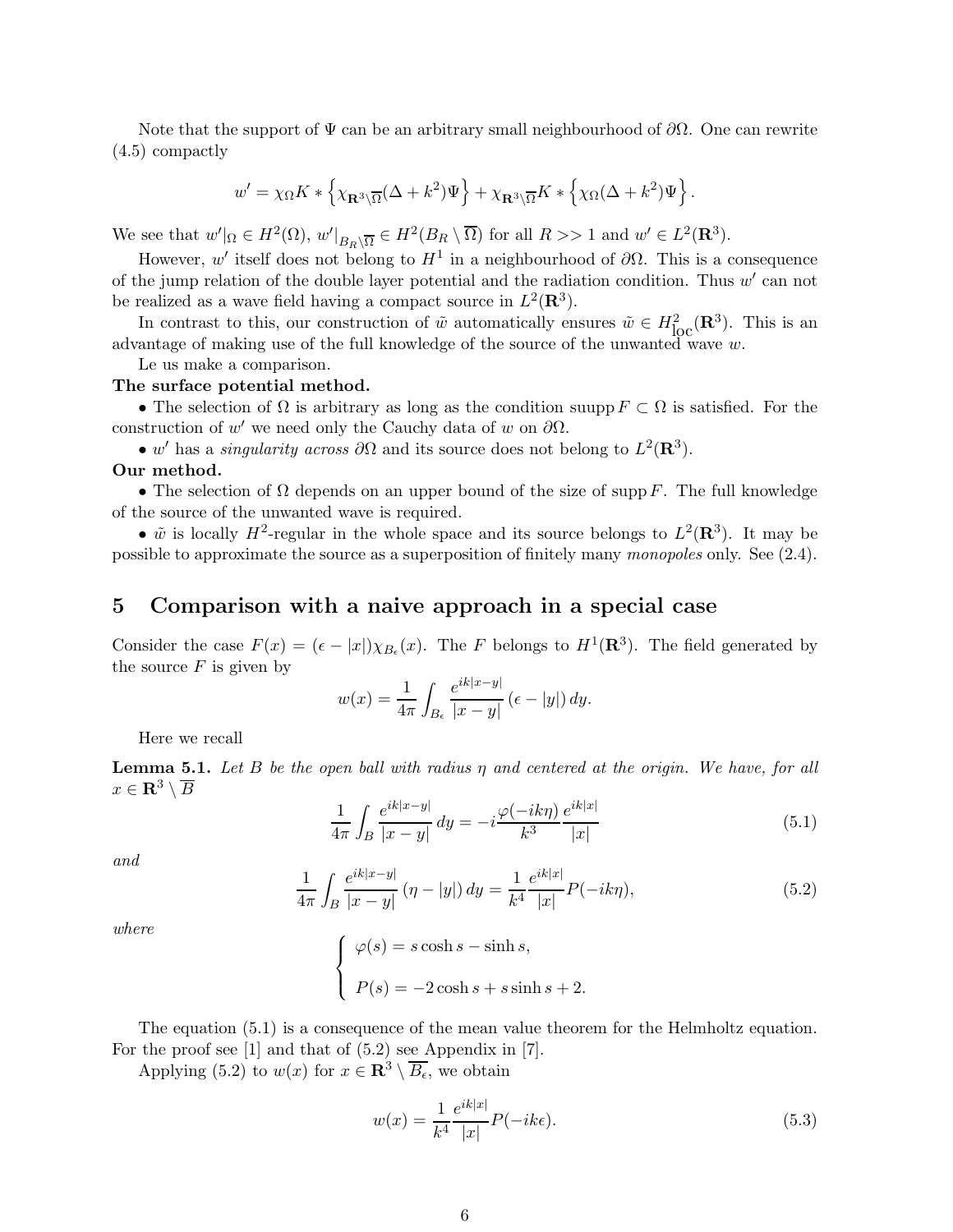Note that the support of  $\Psi$  can be an arbitrary small neighbourhood of  $\partial\Omega$ . One can rewrite (4.5) compactly

$$
w' = \chi_{\Omega} K * \left\{ \chi_{\mathbf{R}^3 \backslash \overline{\Omega}} (\Delta + k^2) \Psi \right\} + \chi_{\mathbf{R}^3 \backslash \overline{\Omega}} K * \left\{ \chi_{\Omega} (\Delta + k^2) \Psi \right\}.
$$

We see that  $w' \vert_{\Omega} \in H^2(\Omega)$ ,  $w' \vert_{B_R \setminus \overline{\Omega}} \in H^2(B_R \setminus \overline{\Omega})$  for all  $R >> 1$  and  $w' \in L^2(\mathbf{R}^3)$ .

However, w' itself does not belong to  $H^1$  in a neighbourhood of  $\partial\Omega$ . This is a consequence of the jump relation of the double layer potential and the radiation condition. Thus w' can not be realized as a wave field having a compact source in  $L^2(\mathbf{R}^3)$ .

In contrast to this, our construction of  $\tilde{w}$  automatically ensures  $\tilde{w} \in H^2_{loc}(\mathbf{R}^3)$ . This is an advantage of making use of the full knowledge of the source of the unwanted wave  $w$ .

Le us make a comparison.

#### The surface potential method.

• The selection of  $\Omega$  is arbitrary as long as the condition suupp  $F \subset \Omega$  is satisfied. For the construction of w' we need only the Cauchy data of w on  $\partial\Omega$ .

• w' has a *singularity across*  $\partial\Omega$  and its source does not belong to  $L^2(\mathbf{R}^3)$ .

#### Our method.

• The selection of  $\Omega$  depends on an upper bound of the size of supp F. The full knowledge of the source of the unwanted wave is required.

•  $\tilde{w}$  is locally  $H^2$ -regular in the whole space and its source belongs to  $L^2(\mathbf{R}^3)$ . It may be possible to approximate the source as a superposition of finitely many monopoles only. See (2.4).

## 5 Comparison with a naive approach in a special case

Consider the case  $F(x) = (\epsilon - |x|) \chi_{B_{\epsilon}}(x)$ . The F belongs to  $H^1(\mathbf{R}^3)$ . The field generated by the source  $F$  is given by

$$
w(x) = \frac{1}{4\pi} \int_{B_{\epsilon}} \frac{e^{ik|x-y|}}{|x-y|} (\epsilon - |y|) dy.
$$

Here we recall

**Lemma 5.1.** Let B be the open ball with radius  $\eta$  and centered at the origin. We have, for all  $x \in \mathbf{R}^3 \setminus \overline{B}$ 

$$
\frac{1}{4\pi} \int_{B} \frac{e^{ik|x-y|}}{|x-y|} dy = -i \frac{\varphi(-ik\eta)}{k^3} \frac{e^{ik|x|}}{|x|}
$$
(5.1)

and

$$
\frac{1}{4\pi} \int_{B} \frac{e^{ik|x-y|}}{|x-y|} \left(\eta - |y|\right) dy = \frac{1}{k^4} \frac{e^{ik|x|}}{|x|} P(-ik\eta),\tag{5.2}
$$

where

$$
\begin{cases}\n\varphi(s) = s \cosh s - \sinh s, \\
P(s) = -2 \cosh s + s \sinh s + 2.\n\end{cases}
$$

The equation (5.1) is a consequence of the mean value theorem for the Helmholtz equation. For the proof see [1] and that of (5.2) see Appendix in [7].

Applying (5.2) to  $w(x)$  for  $x \in \mathbb{R}^3 \setminus \overline{B_{\epsilon}}$ , we obtain

$$
w(x) = \frac{1}{k^4} \frac{e^{ik|x|}}{|x|} P(-ik\epsilon).
$$
 (5.3)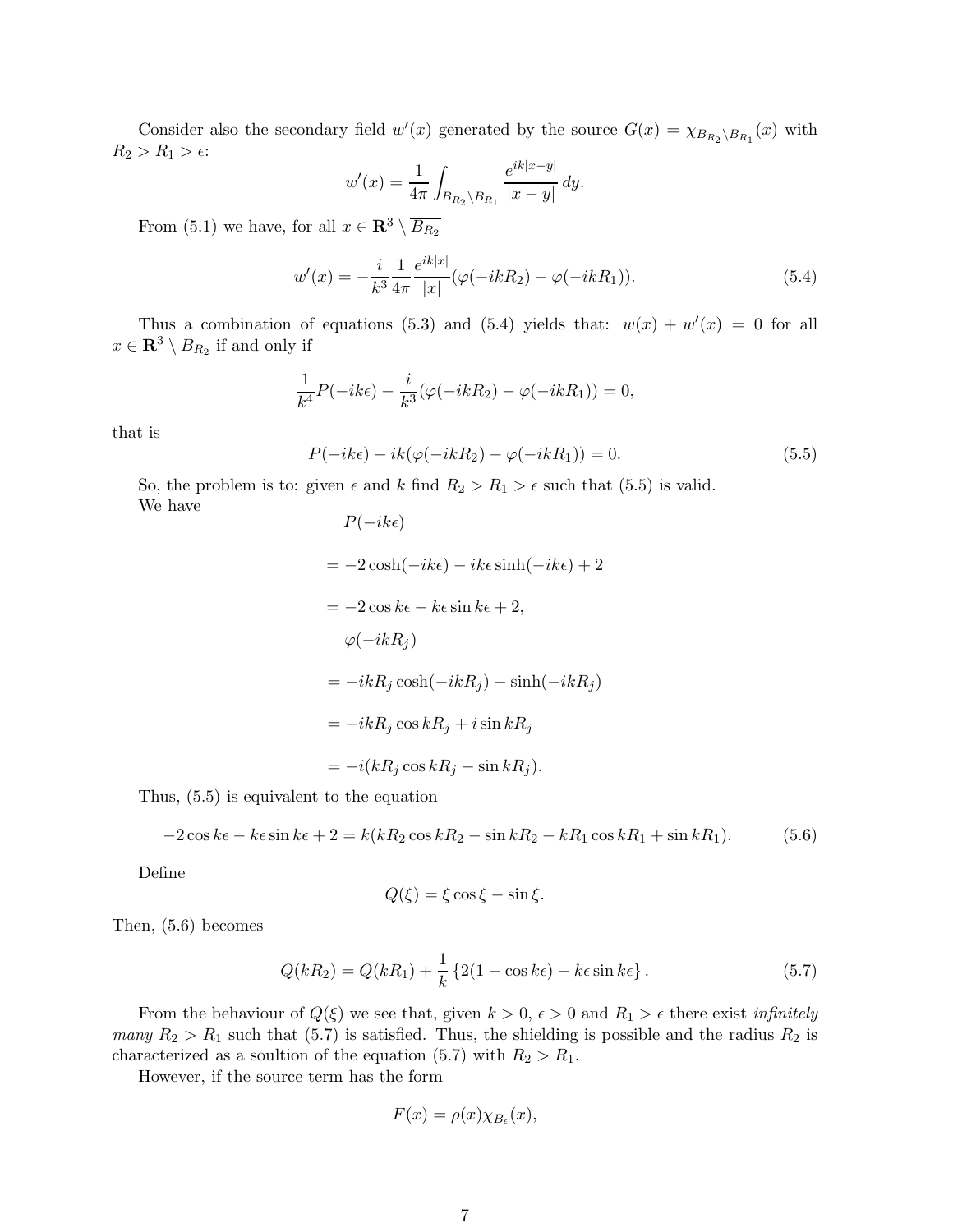Consider also the secondary field  $w'(x)$  generated by the source  $G(x) = \chi_{B_{R_2} \setminus B_{R_1}}(x)$  with  $R_2 > R_1 > \epsilon$ :

$$
w'(x) = \frac{1}{4\pi} \int_{B_{R_2} \setminus B_{R_1}} \frac{e^{ik|x-y|}}{|x-y|} dy.
$$

From (5.1) we have, for all  $x \in \mathbb{R}^3 \setminus \overline{B_{R_2}}$ 

$$
w'(x) = -\frac{i}{k^3} \frac{1}{4\pi} \frac{e^{ik|x|}}{|x|} (\varphi(-ikR_2) - \varphi(-ikR_1)).
$$
\n(5.4)

Thus a combination of equations (5.3) and (5.4) yields that:  $w(x) + w'(x) = 0$  for all  $x \in \mathbf{R}^3 \setminus B_{R_2}$  if and only if

$$
\frac{1}{k^4}P(-ik\epsilon) - \frac{i}{k^3}(\varphi(-ikR_2) - \varphi(-ikR_1)) = 0,
$$

that is

$$
P(-ik\epsilon) - ik(\varphi(-ikR_2) - \varphi(-ikR_1)) = 0.
$$
\n(5.5)

So, the problem is to: given  $\epsilon$  and k find  $R_2 > R_1 > \epsilon$  such that (5.5) is valid. We have  $D(-ikc)$ 

$$
P(-i\kappa\epsilon)
$$
  
= -2 cosh(-i k\epsilon) - i k\epsilon sinh(-i k\epsilon) + 2  
= -2 cos k\epsilon - k\epsilon sin k\epsilon + 2,  

$$
\varphi(-i k R_j)
$$
  
= -i k R\_j cosh(-i k R\_j) - sinh(-i k R\_j)  
= -i k R\_j cos k R\_j + i sin k R\_j  
= -i(k R\_j cos k R\_j - sin k R\_j).

Thus, (5.5) is equivalent to the equation

$$
-2\cos k\epsilon - k\epsilon \sin k\epsilon + 2 = k(kR_2\cos kR_2 - \sin kR_2 - kR_1\cos kR_1 + \sin kR_1). \tag{5.6}
$$

Define

$$
Q(\xi) = \xi \cos \xi - \sin \xi.
$$

Then, (5.6) becomes

$$
Q(kR_2) = Q(kR_1) + \frac{1}{k} \left\{ 2(1 - \cos k\epsilon) - k\epsilon \sin k\epsilon \right\}.
$$
 (5.7)

From the behaviour of  $Q(\xi)$  we see that, given  $k > 0$ ,  $\epsilon > 0$  and  $R_1 > \epsilon$  there exist *infinitely* many  $R_2 > R_1$  such that (5.7) is satisfied. Thus, the shielding is possible and the radius  $R_2$  is characterized as a soultion of the equation (5.7) with  $R_2 > R_1$ .

However, if the source term has the form

$$
F(x) = \rho(x) \chi_{B_{\epsilon}}(x),
$$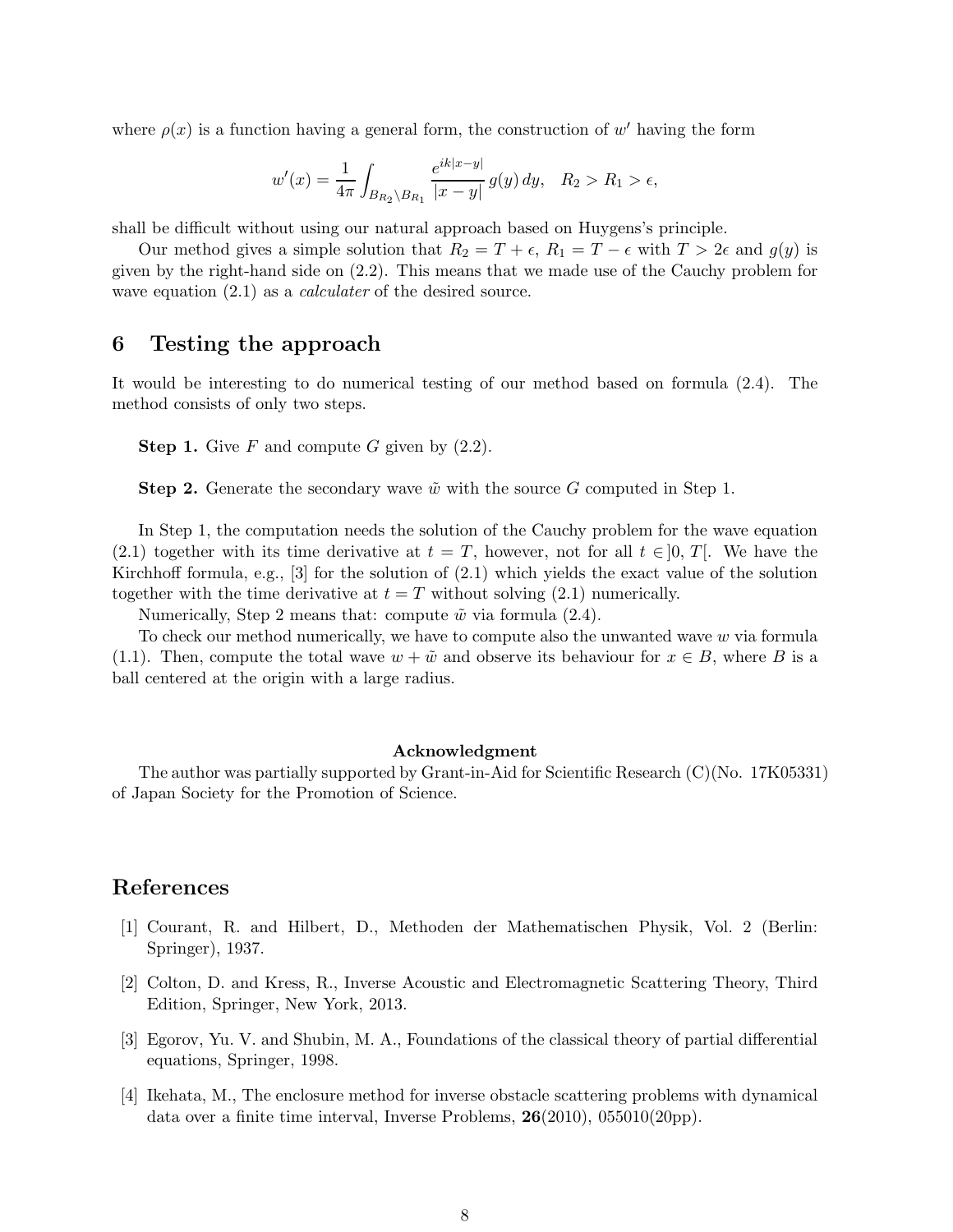where  $\rho(x)$  is a function having a general form, the construction of w' having the form

$$
w'(x) = \frac{1}{4\pi} \int_{B_{R_2} \setminus B_{R_1}} \frac{e^{ik|x-y|}}{|x-y|} g(y) dy, \quad R_2 > R_1 > \epsilon,
$$

shall be difficult without using our natural approach based on Huygens's principle.

Our method gives a simple solution that  $R_2 = T + \epsilon$ ,  $R_1 = T - \epsilon$  with  $T > 2\epsilon$  and  $g(y)$  is given by the right-hand side on (2.2). This means that we made use of the Cauchy problem for wave equation  $(2.1)$  as a *calculater* of the desired source.

## 6 Testing the approach

It would be interesting to do numerical testing of our method based on formula (2.4). The method consists of only two steps.

**Step 1.** Give F and compute G given by  $(2.2)$ .

**Step 2.** Generate the secondary wave  $\tilde{w}$  with the source G computed in Step 1.

In Step 1, the computation needs the solution of the Cauchy problem for the wave equation (2.1) together with its time derivative at  $t = T$ , however, not for all  $t \in [0, T]$ . We have the Kirchhoff formula, e.g.,  $[3]$  for the solution of  $(2.1)$  which yields the exact value of the solution together with the time derivative at  $t = T$  without solving (2.1) numerically.

Numerically, Step 2 means that: compute  $\tilde{w}$  via formula (2.4).

To check our method numerically, we have to compute also the unwanted wave  $w$  via formula (1.1). Then, compute the total wave  $w + \tilde{w}$  and observe its behaviour for  $x \in B$ , where B is a ball centered at the origin with a large radius.

#### Acknowledgment

The author was partially supported by Grant-in-Aid for Scientific Research (C)(No. 17K05331) of Japan Society for the Promotion of Science.

## References

- [1] Courant, R. and Hilbert, D., Methoden der Mathematischen Physik, Vol. 2 (Berlin: Springer), 1937.
- [2] Colton, D. and Kress, R., Inverse Acoustic and Electromagnetic Scattering Theory, Third Edition, Springer, New York, 2013.
- [3] Egorov, Yu. V. and Shubin, M. A., Foundations of the classical theory of partial differential equations, Springer, 1998.
- [4] Ikehata, M., The enclosure method for inverse obstacle scattering problems with dynamical data over a finite time interval, Inverse Problems, 26(2010), 055010(20pp).